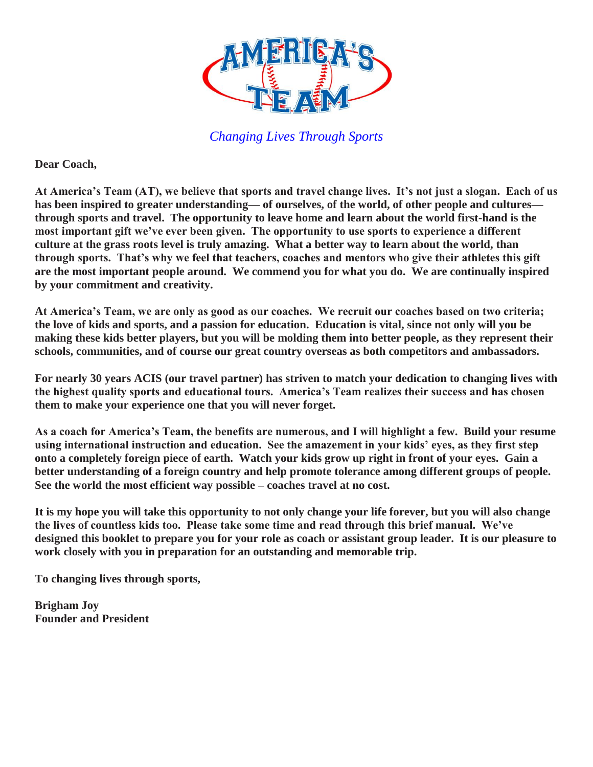

**Dear Coach,**

**At America's Team (AT), we believe that sports and travel change lives. It's not just a slogan. Each of us has been inspired to greater understanding— of ourselves, of the world, of other people and cultures through sports and travel. The opportunity to leave home and learn about the world first-hand is the most important gift we've ever been given. The opportunity to use sports to experience a different culture at the grass roots level is truly amazing. What a better way to learn about the world, than through sports. That's why we feel that teachers, coaches and mentors who give their athletes this gift are the most important people around. We commend you for what you do. We are continually inspired by your commitment and creativity.**

**At America's Team, we are only as good as our coaches. We recruit our coaches based on two criteria; the love of kids and sports, and a passion for education. Education is vital, since not only will you be making these kids better players, but you will be molding them into better people, as they represent their schools, communities, and of course our great country overseas as both competitors and ambassadors.**

**For nearly 30 years ACIS (our travel partner) has striven to match your dedication to changing lives with the highest quality sports and educational tours. America's Team realizes their success and has chosen them to make your experience one that you will never forget.**

**As a coach for America's Team, the benefits are numerous, and I will highlight a few. Build your resume using international instruction and education. See the amazement in your kids' eyes, as they first step onto a completely foreign piece of earth. Watch your kids grow up right in front of your eyes. Gain a better understanding of a foreign country and help promote tolerance among different groups of people. See the world the most efficient way possible – coaches travel at no cost.**

**It is my hope you will take this opportunity to not only change your life forever, but you will also change the lives of countless kids too. Please take some time and read through this brief manual. We've designed this booklet to prepare you for your role as coach or assistant group leader. It is our pleasure to work closely with you in preparation for an outstanding and memorable trip.**

**To changing lives through sports,**

**Brigham Joy Founder and President**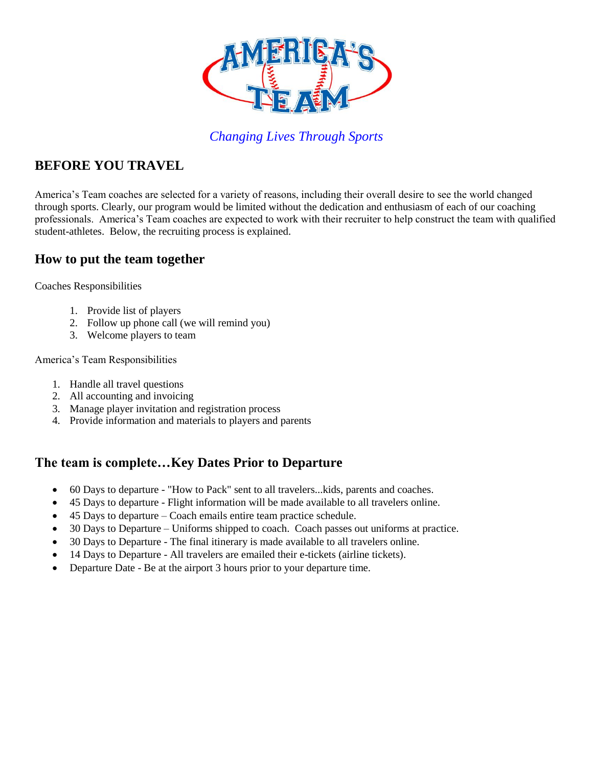

# **BEFORE YOU TRAVEL**

America's Team coaches are selected for a variety of reasons, including their overall desire to see the world changed through sports. Clearly, our program would be limited without the dedication and enthusiasm of each of our coaching professionals. America's Team coaches are expected to work with their recruiter to help construct the team with qualified student-athletes. Below, the recruiting process is explained.

# **How to put the team together**

Coaches Responsibilities

- 1. Provide list of players
- 2. Follow up phone call (we will remind you)
- 3. Welcome players to team

America's Team Responsibilities

- 1. Handle all travel questions
- 2. All accounting and invoicing
- 3. Manage player invitation and registration process
- 4. Provide information and materials to players and parents

# **The team is complete…Key Dates Prior to Departure**

- 60 Days to departure "How to Pack" sent to all travelers...kids, parents and coaches.
- 45 Days to departure Flight information will be made available to all travelers online.
- 45 Days to departure Coach emails entire team practice schedule.
- 30 Days to Departure Uniforms shipped to coach. Coach passes out uniforms at practice.
- 30 Days to Departure The final itinerary is made available to all travelers online.
- 14 Days to Departure All travelers are emailed their e-tickets (airline tickets).
- Departure Date Be at the airport 3 hours prior to your departure time.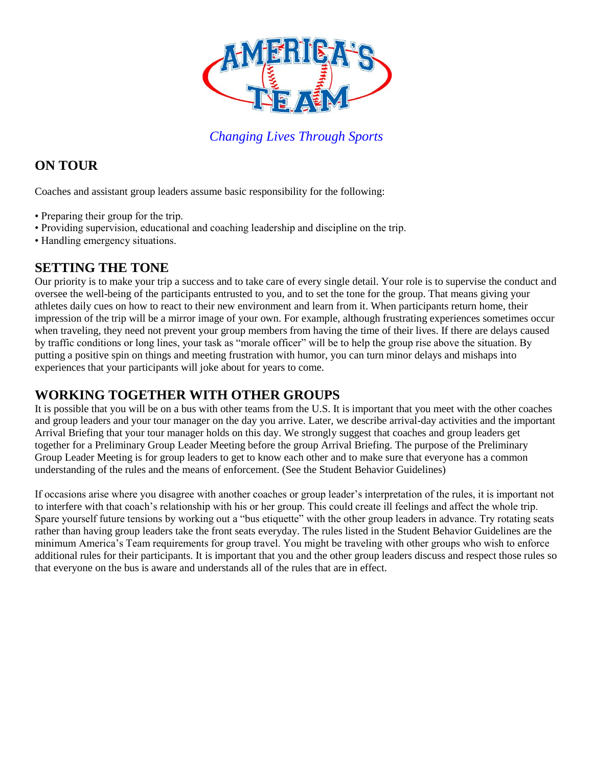

# **ON TOUR**

Coaches and assistant group leaders assume basic responsibility for the following:

- Preparing their group for the trip.
- Providing supervision, educational and coaching leadership and discipline on the trip.
- Handling emergency situations.

# **SETTING THE TONE**

Our priority is to make your trip a success and to take care of every single detail. Your role is to supervise the conduct and oversee the well-being of the participants entrusted to you, and to set the tone for the group. That means giving your athletes daily cues on how to react to their new environment and learn from it. When participants return home, their impression of the trip will be a mirror image of your own. For example, although frustrating experiences sometimes occur when traveling, they need not prevent your group members from having the time of their lives. If there are delays caused by traffic conditions or long lines, your task as "morale officer" will be to help the group rise above the situation. By putting a positive spin on things and meeting frustration with humor, you can turn minor delays and mishaps into experiences that your participants will joke about for years to come.

# **WORKING TOGETHER WITH OTHER GROUPS**

It is possible that you will be on a bus with other teams from the U.S. It is important that you meet with the other coaches and group leaders and your tour manager on the day you arrive. Later, we describe arrival-day activities and the important Arrival Briefing that your tour manager holds on this day. We strongly suggest that coaches and group leaders get together for a Preliminary Group Leader Meeting before the group Arrival Briefing. The purpose of the Preliminary Group Leader Meeting is for group leaders to get to know each other and to make sure that everyone has a common understanding of the rules and the means of enforcement. (See the Student Behavior Guidelines)

If occasions arise where you disagree with another coaches or group leader's interpretation of the rules, it is important not to interfere with that coach's relationship with his or her group. This could create ill feelings and affect the whole trip. Spare yourself future tensions by working out a "bus etiquette" with the other group leaders in advance. Try rotating seats rather than having group leaders take the front seats everyday. The rules listed in the Student Behavior Guidelines are the minimum America's Team requirements for group travel. You might be traveling with other groups who wish to enforce additional rules for their participants. It is important that you and the other group leaders discuss and respect those rules so that everyone on the bus is aware and understands all of the rules that are in effect.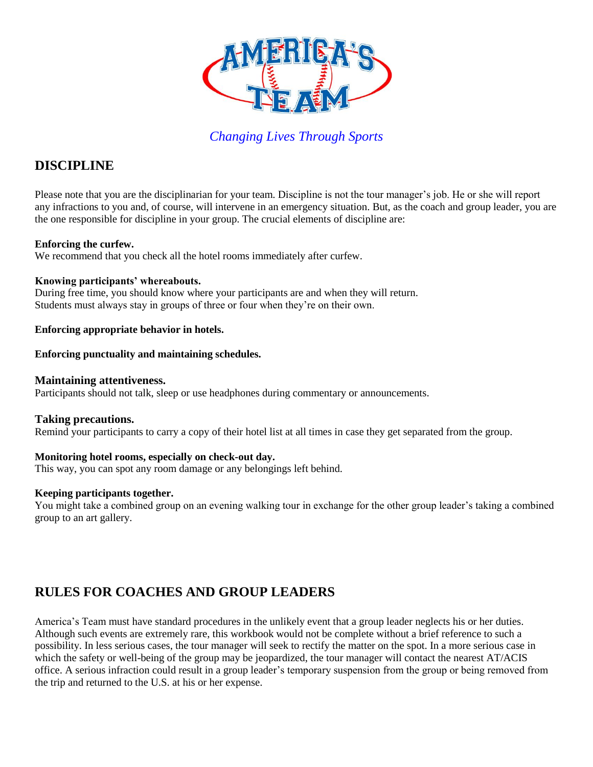

# **DISCIPLINE**

Please note that you are the disciplinarian for your team. Discipline is not the tour manager's job. He or she will report any infractions to you and, of course, will intervene in an emergency situation. But, as the coach and group leader, you are the one responsible for discipline in your group. The crucial elements of discipline are:

### **Enforcing the curfew.**

We recommend that you check all the hotel rooms immediately after curfew.

### **Knowing participants' whereabouts.**

During free time, you should know where your participants are and when they will return. Students must always stay in groups of three or four when they're on their own.

### **Enforcing appropriate behavior in hotels.**

### **Enforcing punctuality and maintaining schedules.**

### **Maintaining attentiveness.**

Participants should not talk, sleep or use headphones during commentary or announcements.

### **Taking precautions.**

Remind your participants to carry a copy of their hotel list at all times in case they get separated from the group.

#### **Monitoring hotel rooms, especially on check-out day.**

This way, you can spot any room damage or any belongings left behind.

### **Keeping participants together.**

You might take a combined group on an evening walking tour in exchange for the other group leader's taking a combined group to an art gallery.

# **RULES FOR COACHES AND GROUP LEADERS**

America's Team must have standard procedures in the unlikely event that a group leader neglects his or her duties. Although such events are extremely rare, this workbook would not be complete without a brief reference to such a possibility. In less serious cases, the tour manager will seek to rectify the matter on the spot. In a more serious case in which the safety or well-being of the group may be jeopardized, the tour manager will contact the nearest AT/ACIS office. A serious infraction could result in a group leader's temporary suspension from the group or being removed from the trip and returned to the U.S. at his or her expense.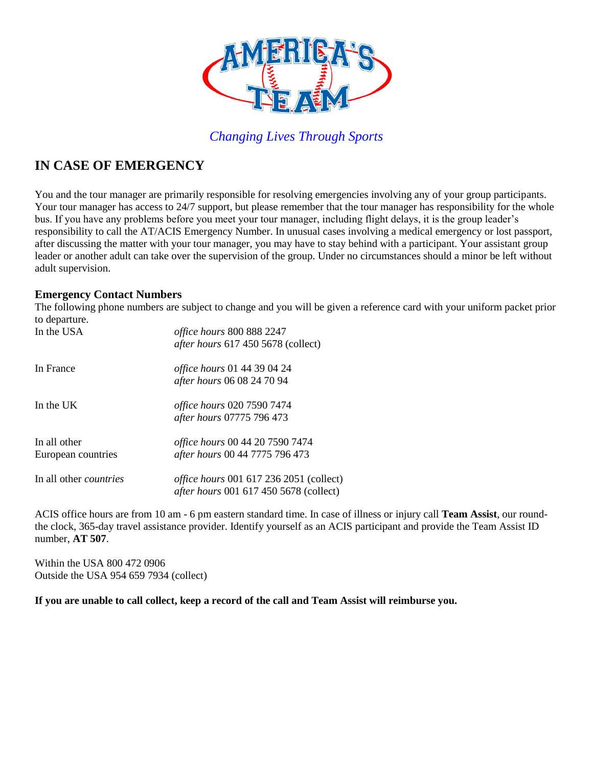

# **IN CASE OF EMERGENCY**

You and the tour manager are primarily responsible for resolving emergencies involving any of your group participants. Your tour manager has access to 24/7 support, but please remember that the tour manager has responsibility for the whole bus. If you have any problems before you meet your tour manager, including flight delays, it is the group leader's responsibility to call the AT/ACIS Emergency Number. In unusual cases involving a medical emergency or lost passport, after discussing the matter with your tour manager, you may have to stay behind with a participant. Your assistant group leader or another adult can take over the supervision of the group. Under no circumstances should a minor be left without adult supervision.

### **Emergency Contact Numbers**

The following phone numbers are subject to change and you will be given a reference card with your uniform packet prior to departure.

| In the USA                         | <i>office hours</i> 800 888 2247<br><i>after hours</i> 617 450 5678 (collect)                   |
|------------------------------------|-------------------------------------------------------------------------------------------------|
| In France                          | <i>office hours</i> 01 44 39 04 24<br>after hours 06 08 24 70 94                                |
| In the UK                          | <i>office hours</i> 020 7590 7474<br>after hours 07775 796 473                                  |
| In all other<br>European countries | office hours 00 44 20 7590 7474<br>after hours 00 44 7775 796 473                               |
| In all other <i>countries</i>      | <i>office hours</i> 001 617 236 2051 (collect)<br><i>after hours</i> 001 617 450 5678 (collect) |

ACIS office hours are from 10 am - 6 pm eastern standard time. In case of illness or injury call **Team Assist**, our roundthe clock, 365-day travel assistance provider. Identify yourself as an ACIS participant and provide the Team Assist ID number, **AT 507**.

Within the USA 800 472 0906 Outside the USA 954 659 7934 (collect)

**If you are unable to call collect, keep a record of the call and Team Assist will reimburse you.**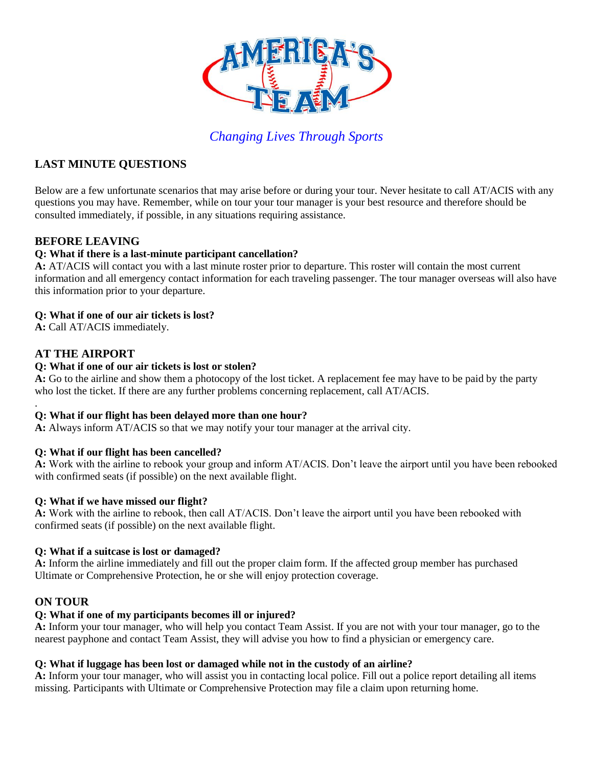

# **LAST MINUTE QUESTIONS**

Below are a few unfortunate scenarios that may arise before or during your tour. Never hesitate to call AT/ACIS with any questions you may have. Remember, while on tour your tour manager is your best resource and therefore should be consulted immediately, if possible, in any situations requiring assistance.

# **BEFORE LEAVING**

### **Q: What if there is a last-minute participant cancellation?**

**A:** AT/ACIS will contact you with a last minute roster prior to departure. This roster will contain the most current information and all emergency contact information for each traveling passenger. The tour manager overseas will also have this information prior to your departure.

### **Q: What if one of our air tickets is lost?**

**A:** Call AT/ACIS immediately.

# **AT THE AIRPORT**

.

### **Q: What if one of our air tickets is lost or stolen?**

**A:** Go to the airline and show them a photocopy of the lost ticket. A replacement fee may have to be paid by the party who lost the ticket. If there are any further problems concerning replacement, call AT/ACIS.

### **Q: What if our flight has been delayed more than one hour?**

**A:** Always inform AT/ACIS so that we may notify your tour manager at the arrival city.

### **Q: What if our flight has been cancelled?**

**A:** Work with the airline to rebook your group and inform AT/ACIS. Don't leave the airport until you have been rebooked with confirmed seats (if possible) on the next available flight.

#### **Q: What if we have missed our flight?**

**A:** Work with the airline to rebook, then call AT/ACIS. Don't leave the airport until you have been rebooked with confirmed seats (if possible) on the next available flight.

### **Q: What if a suitcase is lost or damaged?**

**A:** Inform the airline immediately and fill out the proper claim form. If the affected group member has purchased Ultimate or Comprehensive Protection, he or she will enjoy protection coverage.

# **ON TOUR**

#### **Q: What if one of my participants becomes ill or injured?**

**A:** Inform your tour manager, who will help you contact Team Assist. If you are not with your tour manager, go to the nearest payphone and contact Team Assist, they will advise you how to find a physician or emergency care.

#### **Q: What if luggage has been lost or damaged while not in the custody of an airline?**

**A:** Inform your tour manager, who will assist you in contacting local police. Fill out a police report detailing all items missing. Participants with Ultimate or Comprehensive Protection may file a claim upon returning home.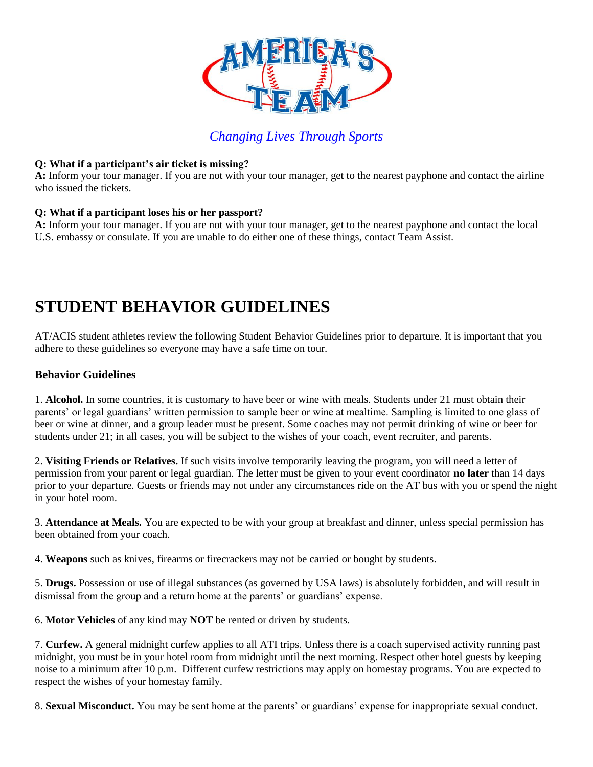

### **Q: What if a participant's air ticket is missing?**

**A:** Inform your tour manager. If you are not with your tour manager, get to the nearest payphone and contact the airline who issued the tickets.

### **Q: What if a participant loses his or her passport?**

**A:** Inform your tour manager. If you are not with your tour manager, get to the nearest payphone and contact the local U.S. embassy or consulate. If you are unable to do either one of these things, contact Team Assist.

# **STUDENT BEHAVIOR GUIDELINES**

AT/ACIS student athletes review the following Student Behavior Guidelines prior to departure. It is important that you adhere to these guidelines so everyone may have a safe time on tour.

# **Behavior Guidelines**

1. **Alcohol.** In some countries, it is customary to have beer or wine with meals. Students under 21 must obtain their parents' or legal guardians' written permission to sample beer or wine at mealtime. Sampling is limited to one glass of beer or wine at dinner, and a group leader must be present. Some coaches may not permit drinking of wine or beer for students under 21; in all cases, you will be subject to the wishes of your coach, event recruiter, and parents.

2. **Visiting Friends or Relatives.** If such visits involve temporarily leaving the program, you will need a letter of permission from your parent or legal guardian. The letter must be given to your event coordinator **no later** than 14 days prior to your departure. Guests or friends may not under any circumstances ride on the AT bus with you or spend the night in your hotel room.

3. **Attendance at Meals.** You are expected to be with your group at breakfast and dinner, unless special permission has been obtained from your coach.

4. **Weapons** such as knives, firearms or firecrackers may not be carried or bought by students.

5. **Drugs.** Possession or use of illegal substances (as governed by USA laws) is absolutely forbidden, and will result in dismissal from the group and a return home at the parents' or guardians' expense.

6. **Motor Vehicles** of any kind may **NOT** be rented or driven by students.

7. **Curfew.** A general midnight curfew applies to all ATI trips. Unless there is a coach supervised activity running past midnight, you must be in your hotel room from midnight until the next morning. Respect other hotel guests by keeping noise to a minimum after 10 p.m. Different curfew restrictions may apply on homestay programs. You are expected to respect the wishes of your homestay family.

8. **Sexual Misconduct.** You may be sent home at the parents' or guardians' expense for inappropriate sexual conduct.